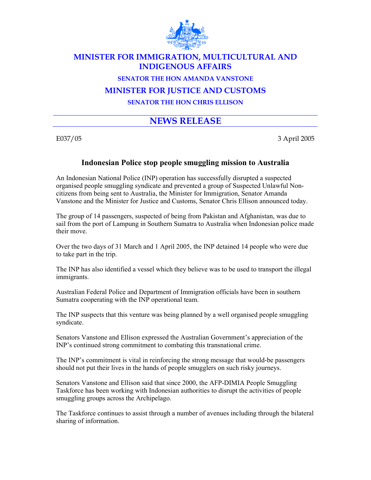

## **MINISTER FOR IMMIGRATION, MULTICULTURAL AND INDIGENOUS AFFAIRS**

#### **SENATOR THE HON AMANDA VANSTONE**

### **MINISTER FOR JUSTICE AND CUSTOMS**

**SENATOR THE HON CHRIS ELLISON** 

# **NEWS RELEASE**

E037/05 3 April 2005

### **Indonesian Police stop people smuggling mission to Australia**

An Indonesian National Police (INP) operation has successfully disrupted a suspected organised people smuggling syndicate and prevented a group of Suspected Unlawful Noncitizens from being sent to Australia, the Minister for Immigration, Senator Amanda Vanstone and the Minister for Justice and Customs, Senator Chris Ellison announced today.

The group of 14 passengers, suspected of being from Pakistan and Afghanistan, was due to sail from the port of Lampung in Southern Sumatra to Australia when Indonesian police made their move.

Over the two days of 31 March and 1 April 2005, the INP detained 14 people who were due to take part in the trip.

The INP has also identified a vessel which they believe was to be used to transport the illegal immigrants.

Australian Federal Police and Department of Immigration officials have been in southern Sumatra cooperating with the INP operational team.

The INP suspects that this venture was being planned by a well organised people smuggling syndicate.

Senators Vanstone and Ellison expressed the Australian Government's appreciation of the INP's continued strong commitment to combating this transnational crime.

The INP's commitment is vital in reinforcing the strong message that would-be passengers should not put their lives in the hands of people smugglers on such risky journeys.

Senators Vanstone and Ellison said that since 2000, the AFP-DIMIA People Smuggling Taskforce has been working with Indonesian authorities to disrupt the activities of people smuggling groups across the Archipelago.

The Taskforce continues to assist through a number of avenues including through the bilateral sharing of information.